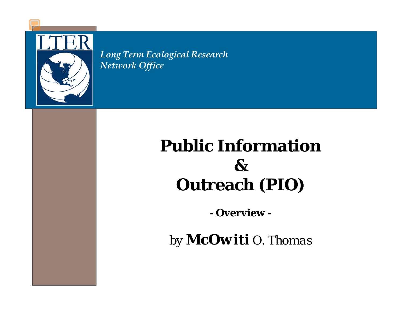

*Long Term Ecological Research Network Office*

#### **Public Information & Outreach (PIO)**

**- Overview -**

*by McOwiti O. Thomas*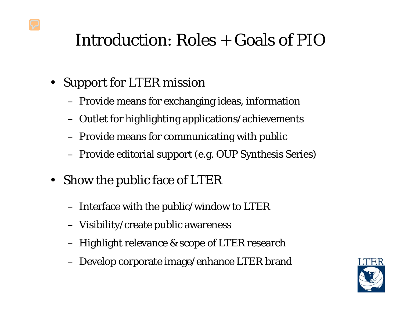#### Introduction: Roles + Goals of PIO

- Support for LTER mission
	- Provide means for exchanging ideas, information
	- Outlet for highlighting applications/achievements
	- Provide means for communicating with public
	- Provide editorial support (e.g. OUP Synthesis Series)
- Show the public face of LTER
	- Interface with the public/window to LTER
	- Visibility/create public awareness
	- Highlight relevance & scope of LTER research
	- Develop corporate image/enhance LTER brand

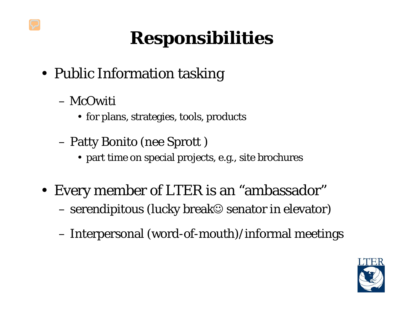# **Responsibilities**

- Public Information tasking
	- McOwiti
		- for plans, strategies, tools, products
	- Patty Bonito (nee Sprott )
		- part time on special projects, e.g., site brochures
- Every member of LTER is an "ambassador"  $-$  serendipitous (lucky break $\mathfrak{S}$  senator in elevator)
	- Interpersonal (word-of-mouth)/informal meetings

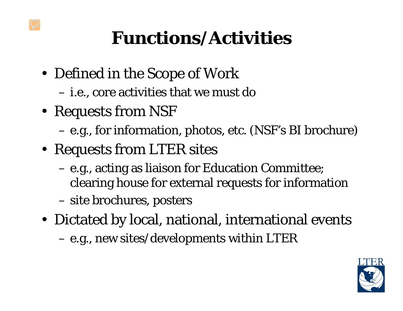## **Functions/Activities**

- Defined in the Scope of Work
	- i.e., core activities that we must do
- Requests from NSF
	- e.g., for information, photos, etc. (NSF's BI brochure)
- Requests from LTER sites
	- e.g., acting as liaison for Education Committee; clearing house for external requests for information
	- site brochures, posters
- Dictated by local, national, international events
	- e.g., new sites/developments within LTER

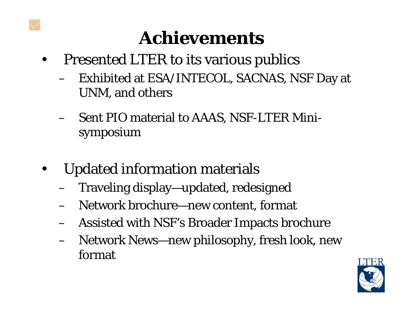### **Achievements**

- Presented LTER to its various publics
	- Exhibited at ESA/INTECOL, SACNAS, NSF Day at UNM, and others
	- Sent PIO material to AAAS, NSF-LTER Minisymposium
- Updated information materials
	- Traveling display—updated, redesigned
	- Network brochure—new content, format
	- Assisted with NSF's Broader Impacts brochure
	- Network News—new philosophy, fresh look, new format

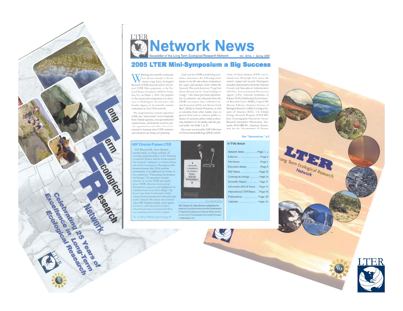



#### **2005 LTER Mini-Symposium a Big Success**

Tashington's scientific community was all cars recently as the national Long Term Ecological Research (LTER) network held its 5th Annual LTER Mini-symposium at the National Science Foundation (NSF) in Arlington, VA, on March 3, 2005. The purpose of the annual mini-symposium is to showcase to Washington the relevance and broader impacts of the scientific research undertaken by the LTER network.

The symposium has earned a reputation in D.C. as a "must attend" event for people from federal agencies, non-governmental organizations, professional societies, private organizations, and others who are interested in learning what LTER scientists and educators are doing and planning.

public outreach. His speech also covered

other NSF-funded research, cross-agency

initiatives, earth observation systems,

tion, and future foci for U.S. science.

See excerpts of Bement's speech on page 10.

cyberinfrastructure, environmental educa-

Each year the LTER coordinating committee announces the following year's theme in the fall and solicits nominations for topics and speakers from within the Network. This year's theme was "Long-Term Marine Research and the Grand Challenges in Ecology," This theme provided opportunities for scientists and educators from the LTER's two newest sites, California Current Ecosystem (CCE) and Moorea Coral Reef (MCR) in French Polynesia, as well as scientists from other marine sites, to present their work to a diverse public audience of scientists, policy makers, educators, members of the media, and the general public (see Table 1, p. 2).

The event was hosted by NSF's Division of Environmental Biology (DEB) and Division of Ocean Sciences (OCE) and attracted over 120 people from across the nation's capital and beyond. Participants included representatives from the National Oceanic and Atmospheric Administration (NOAA), Environmental Protection Agency (EPA), National Academies of Science (NAS), Smithsonian Environmental Research Center (SERC), Capitol Hill (Knauss Fellows), American Institute of Biological Sciences (AIBS), Ecological Society of America (ESA), U.S. Global Change Research Program (USGCRP), Joint Oceanographic Institutions Ocean-Research Interactive Observatory Networks (JOI-ORION), American Association for the Advancement of Science

#### See "Symposium," p.2



NSF Director, Dr. Arden Bement, addressing the National Council for Science and the Environment's 5<sup>th</sup> National Conference on Science. Policy and the Environment "Forecasting Environmental Changes" in Washington, D.C.

Photo: Michelle Kelle

In This Issue Network News. Page 1, 3 Editorial. Page 2 Site News. Page 4 Education News Page 8 NSF News... Page 10 Comings & Goings Page 10 Scientific Report .. Page 11 Informatics Bits & Bytes.... Page 13 International LTER News.... Page 18 Publications. Page 20 Page 24 Calendar.



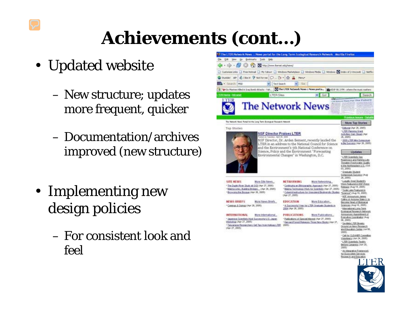# **Achievements (cont…)**

- Updated website
	- New structure; updates more frequent, quicker
	- Documentation/archives improved (new structure)
- Implementing new design policies
	- For consistent look and feel

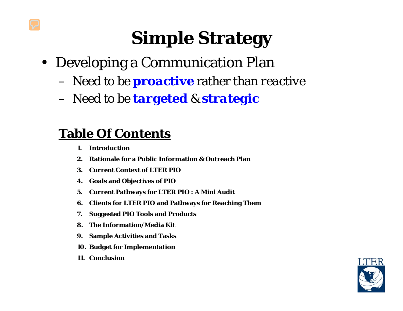# **Simple Strategy**

- Developing a Communication Plan
	- Need to be *proactive* rather than *reactive*
	- Need to be *targeted* & *strategic*

#### **Table Of Contents**

- **1. Introduction**
- **2. Rationale for a Public Information & Outreach Plan**
- **3. Current Context of LTER PIO**
- **4. Goals and Objectives of PIO**
- **5. Current Pathways for LTER PIO : A Mini Audit**
- **6. Clients for LTER PIO and Pathways for Reaching Them**
- **7. Suggested PIO Tools and Products**
- **8. The Information/Media Kit**
- **9. Sample Activities and Tasks**
- **10. Budget for Implementation**
- **11. Conclusion**

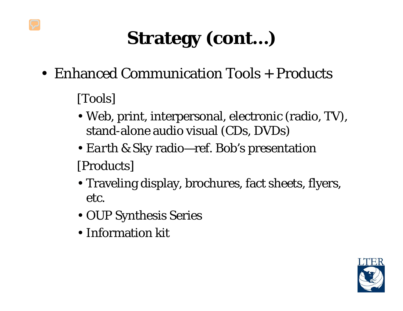# **Strategy (cont…)**

• Enhanced Communication Tools + Products

[Tools]

- Web, print, interpersonal, electronic (radio, TV), stand-alone audio visual (CDs, DVDs)
- *Earth & Sky* radio—ref. Bob's presentation [Products]
- Traveling display, brochures, fact sheets, flyers, etc.
- OUP Synthesis Series
- Information kit

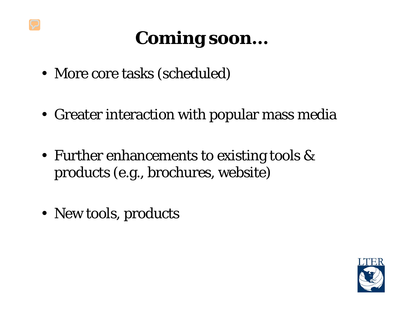# **Coming soon…**

- More core tasks (scheduled)
- Greater interaction with popular mass media
- Further enhancements to existing tools & products (e.g., brochures, website)
- New tools, products